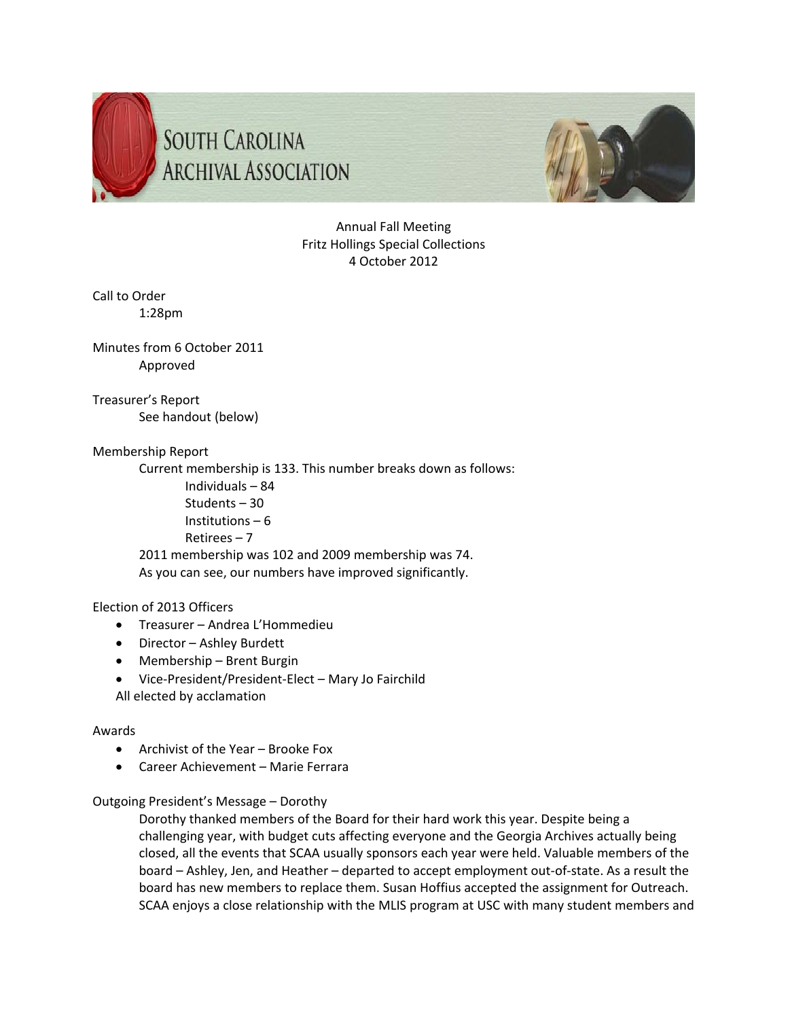



# Annual Fall Meeting Fritz Hollings Special Collections 4 October 2012

Call to Order 1:28pm

Minutes from 6 October 2011 Approved

Treasurer's Report See handout (below)

# Membership Report

Current membership is 133. This number breaks down as follows: Individuals – 84 Students – 30 Institutions – 6 Retirees – 7 2011 membership was 102 and 2009 membership was 74. As you can see, our numbers have improved significantly.

# Election of 2013 Officers

- Treasurer Andrea L'Hommedieu
- Director Ashley Burdett
- Membership Brent Burgin
- Vice‐President/President‐Elect Mary Jo Fairchild
- All elected by acclamation

# Awards

- Archivist of the Year Brooke Fox
- Career Achievement Marie Ferrara

# Outgoing President's Message – Dorothy

Dorothy thanked members of the Board for their hard work this year. Despite being a challenging year, with budget cuts affecting everyone and the Georgia Archives actually being closed, all the events that SCAA usually sponsors each year were held. Valuable members of the board – Ashley, Jen, and Heather – departed to accept employment out‐of‐state. As a result the board has new members to replace them. Susan Hoffius accepted the assignment for Outreach. SCAA enjoys a close relationship with the MLIS program at USC with many student members and